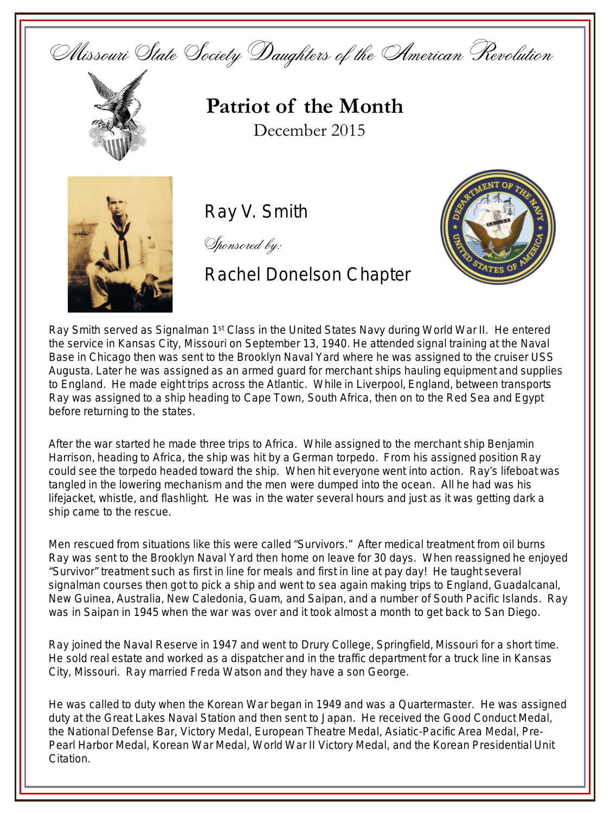Missouri State Society Daughters of the American Revolution



**Patriot of the Month** December 2015



Ray V. Smith

Sponsored by:

Rachel Donelson Chapter



Ray Smith served as Signalman 1<sup>st</sup> Class in the United States Navy during World War II. He entered the service in Kansas City, Missouri on September 13, 1940. He attended signal training at the Naval Base in Chicago then was sent to the Brooklyn Naval Yard where he was assigned to the cruiser USS Augusta. Later he was assigned as an armed guard for merchant ships hauling equipment and supplies to England. He made eight trips across the Atlantic. While in Liverpool, England, between transports Ray was assigned to a ship heading to Cape Town, South Africa, then on to the Red Sea and Egypt before returning to the states.

After the war started he made three trips to Africa. While assigned to the merchant ship Benjamin Harrison, heading to Africa, the ship was hit by a German torpedo. From his assigned position Ray could see the torpedo headed toward the ship. When hit everyone went into action. Ray's lifeboat was tangled in the lowering mechanism and the men were dumped into the ocean. All he had was his lifejacket, whistle, and flashlight. He was in the water several hours and just as it was getting dark a ship came to the rescue.

Men rescued from situations like this were called "Survivors." After medical treatment from oil burns Ray was sent to the Brooklyn Naval Yard then home on leave for 30 days. When reassigned he enjoyed "Survivor" treatment such as first in line for meals and first in line at pay day! He taught several signalman courses then got to pick a ship and went to sea again making trips to England, Guadalcanal, New Guinea, Australia, New Caledonia, Guam, and Saipan, and a number of South Pacific Islands. Ray was in Saipan in 1945 when the war was over and it took almost a month to get back to San Diego.

Ray joined the Naval Reserve in 1947 and went to Drury College, Springfield, Missouri for a short time. He sold real estate and worked as a dispatcher and in the traffic department for a truck line in Kansas City, Missouri. Ray married Freda Watson and they have a son George.

He was called to duty when the Korean War began in 1949 and was a Quartermaster. He was assigned duty at the Great Lakes Naval Station and then sent to Japan. He received the Good Conduct Medal, the National Defense Bar, Victory Medal, European Theatre Medal, Asiatic-Pacific Area Medal, Pre-Pearl Harbor Medal, Korean War Medal, World War II Victory Medal, and the Korean Presidential Unit Citation.